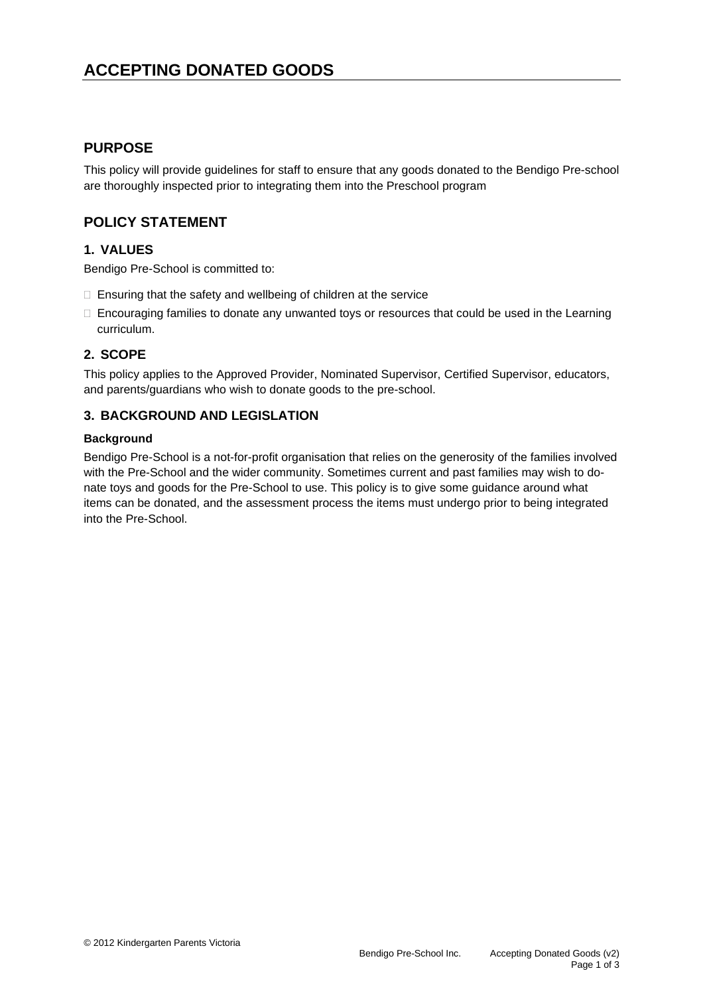# **ACCEPTING DONATED GOODS**

#### **PURPOSE**

This policy will provide guidelines for staff to ensure that any goods donated to the Bendigo Pre-school are thoroughly inspected prior to integrating them into the Preschool program

# **POLICY STATEMENT**

#### **1. VALUES**

Bendigo Pre-School is committed to:

- $\Box$  Ensuring that the safety and wellbeing of children at the service
- $\Box$  Encouraging families to donate any unwanted toys or resources that could be used in the Learning curriculum.

#### **2. SCOPE**

This policy applies to the Approved Provider, Nominated Supervisor, Certified Supervisor, educators, and parents/guardians who wish to donate goods to the pre-school.

#### **3. BACKGROUND AND LEGISLATION**

#### **Background**

Bendigo Pre-School is a not-for-profit organisation that relies on the generosity of the families involved with the Pre-School and the wider community. Sometimes current and past families may wish to donate toys and goods for the Pre-School to use. This policy is to give some guidance around what items can be donated, and the assessment process the items must undergo prior to being integrated into the Pre-School.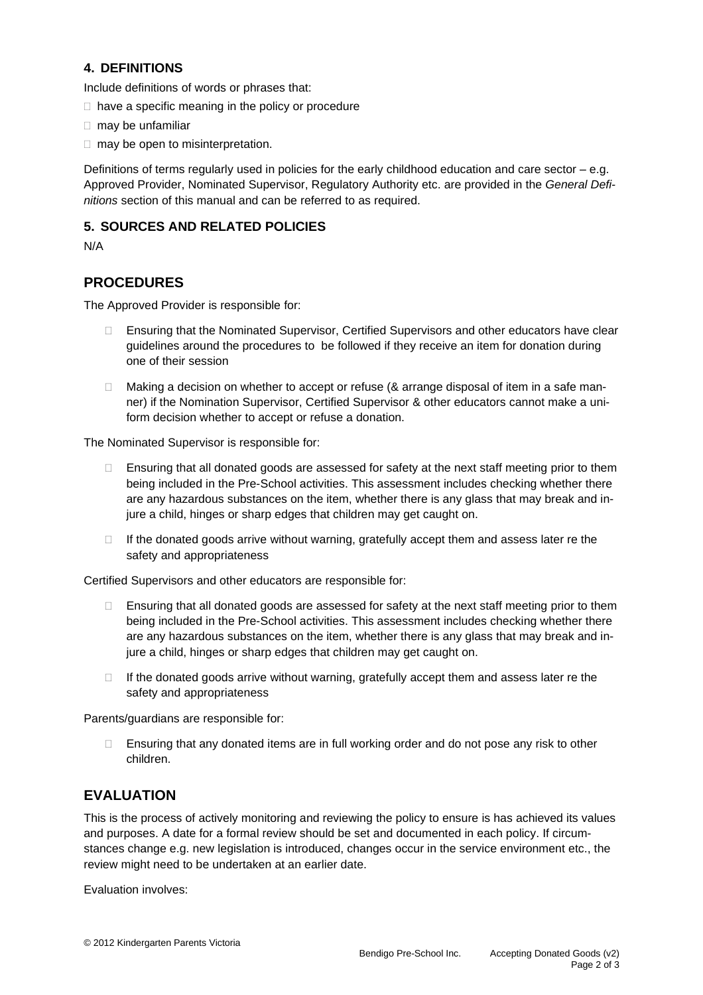#### **4. DEFINITIONS**

Include definitions of words or phrases that:

- $\Box$  have a specific meaning in the policy or procedure
- $\Box$  may be unfamiliar
- $\Box$  may be open to misinterpretation.

Definitions of terms regularly used in policies for the early childhood education and care sector – e.g. Approved Provider, Nominated Supervisor, Regulatory Authority etc. are provided in the *General Definitions* section of this manual and can be referred to as required.

#### **5. SOURCES AND RELATED POLICIES**

N/A

# **PROCEDURES**

The Approved Provider is responsible for:

- □ Ensuring that the Nominated Supervisor, Certified Supervisors and other educators have clear guidelines around the procedures to be followed if they receive an item for donation during one of their session
- $\Box$  Making a decision on whether to accept or refuse (& arrange disposal of item in a safe manner) if the Nomination Supervisor, Certified Supervisor & other educators cannot make a uniform decision whether to accept or refuse a donation.

The Nominated Supervisor is responsible for:

- Ensuring that all donated goods are assessed for safety at the next staff meeting prior to them being included in the Pre-School activities. This assessment includes checking whether there are any hazardous substances on the item, whether there is any glass that may break and injure a child, hinges or sharp edges that children may get caught on.
- $\Box$  If the donated goods arrive without warning, gratefully accept them and assess later re the safety and appropriateness

Certified Supervisors and other educators are responsible for:

- $\Box$  Ensuring that all donated goods are assessed for safety at the next staff meeting prior to them being included in the Pre-School activities. This assessment includes checking whether there are any hazardous substances on the item, whether there is any glass that may break and injure a child, hinges or sharp edges that children may get caught on.
- $\Box$  If the donated goods arrive without warning, gratefully accept them and assess later re the safety and appropriateness

Parents/guardians are responsible for:

 $\Box$  Ensuring that any donated items are in full working order and do not pose any risk to other children.

# **EVALUATION**

This is the process of actively monitoring and reviewing the policy to ensure is has achieved its values and purposes. A date for a formal review should be set and documented in each policy. If circumstances change e.g. new legislation is introduced, changes occur in the service environment etc., the review might need to be undertaken at an earlier date.

Evaluation involves: